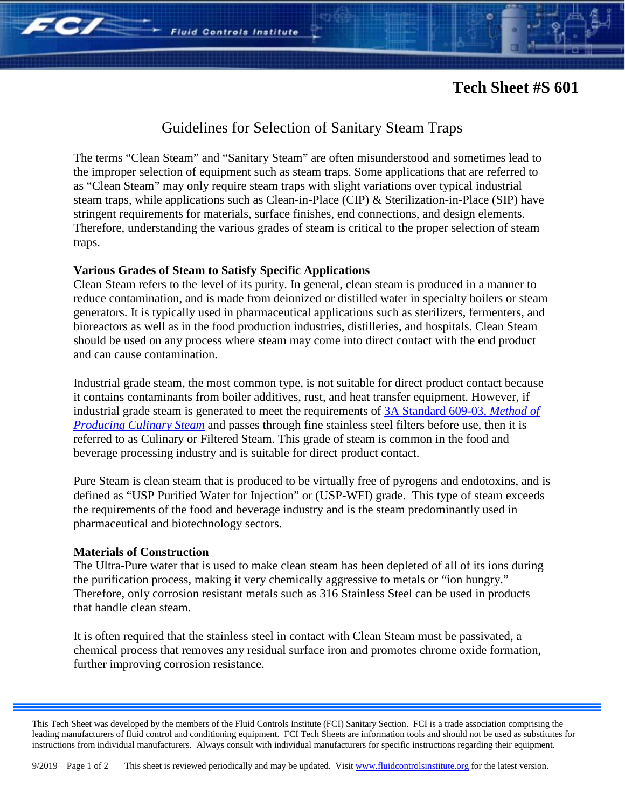# **Tech Sheet #S 601**

FC/

## Guidelines for Selection of Sanitary Steam Traps

The terms "Clean Steam" and "Sanitary Steam" are often misunderstood and sometimes lead to the improper selection of equipment such as steam traps. Some applications that are referred to as "Clean Steam" may only require steam traps with slight variations over typical industrial steam traps, while applications such as Clean-in-Place (CIP) & Sterilization-in-Place (SIP) have stringent requirements for materials, surface finishes, end connections, and design elements. Therefore, understanding the various grades of steam is critical to the proper selection of steam traps.

### **Various Grades of Steam to Satisfy Specific Applications**

Clean Steam refers to the level of its purity. In general, clean steam is produced in a manner to reduce contamination, and is made from deionized or distilled water in specialty boilers or steam generators. It is typically used in pharmaceutical applications such as sterilizers, fermenters, and bioreactors as well as in the food production industries, distilleries, and hospitals. Clean Steam should be used on any process where steam may come into direct contact with the end product and can cause contamination.

Industrial grade steam, the most common type, is not suitable for direct product contact because it contains contaminants from boiler additives, rust, and heat transfer equipment. However, if industrial grade steam is generated to meet the requirements of [3A Standard 609-03,](https://www.techstreet.com/3a/subgroups/2343) *Method of [Producing Culinary Steam](https://www.techstreet.com/3a/subgroups/2343)* and passes through fine stainless steel filters before use, then it is referred to as Culinary or Filtered Steam. This grade of steam is common in the food and beverage processing industry and is suitable for direct product contact.

Pure Steam is clean steam that is produced to be virtually free of pyrogens and endotoxins, and is defined as "USP Purified Water for Injection" or (USP-WFI) grade. This type of steam exceeds the requirements of the food and beverage industry and is the steam predominantly used in pharmaceutical and biotechnology sectors.

### **Materials of Construction**

The Ultra-Pure water that is used to make clean steam has been depleted of all of its ions during the purification process, making it very chemically aggressive to metals or "ion hungry." Therefore, only corrosion resistant metals such as 316 Stainless Steel can be used in products that handle clean steam.

It is often required that the stainless steel in contact with Clean Steam must be passivated, a chemical process that removes any residual surface iron and promotes chrome oxide formation, further improving corrosion resistance.

This Tech Sheet was developed by the members of the Fluid Controls Institute (FCI) Sanitary Section. FCI is a trade association comprising the leading manufacturers of fluid control and conditioning equipment. FCI Tech Sheets are information tools and should not be used as substitutes for instructions from individual manufacturers. Always consult with individual manufacturers for specific instructions regarding their equipment.